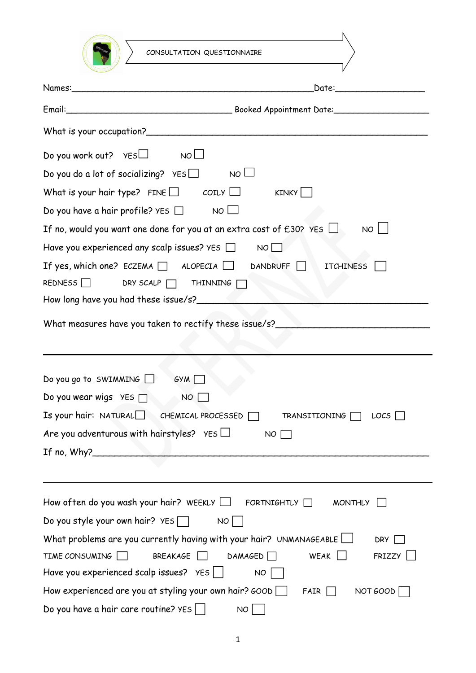| CONSULTATION QUESTIONNAIRE                                                                                                                                                                                                     |                                           |
|--------------------------------------------------------------------------------------------------------------------------------------------------------------------------------------------------------------------------------|-------------------------------------------|
|                                                                                                                                                                                                                                |                                           |
| Names:                                                                                                                                                                                                                         | Date: <u>__________________________</u>   |
| Email: Contact Contact Contact Contact Contact Contact Contact Contact Contact Contact Contact Contact Contact Contact Contact Contact Contact Contact Contact Contact Contact Contact Contact Contact Contact Contact Contact |                                           |
|                                                                                                                                                                                                                                |                                           |
| Do you work out? $YES$ NO $\Box$                                                                                                                                                                                               |                                           |
| NO <sub>1</sub><br>Do you do a lot of socializing? $YES$                                                                                                                                                                       |                                           |
| What is your hair type? FINE $\Box$ COILY $\Box$                                                                                                                                                                               | KINKY                                     |
| Do you have a hair profile? YES $\Box$ NO $\Box$                                                                                                                                                                               |                                           |
| If no, would you want one done for you at an extra cost of £30? YES $\Box$                                                                                                                                                     | <b>NO</b>                                 |
| Have you experienced any scalp issues? $YES$                                                                                                                                                                                   | NO                                        |
| If yes, which one? ECZEMA $\Box$ ALOPECIA $\Box$                                                                                                                                                                               | DANDRUFF <sup>I</sup><br><b>ITCHINESS</b> |
| REDNESS<br>DRY SCALP $\Box$ THINNING $\Box$                                                                                                                                                                                    |                                           |
|                                                                                                                                                                                                                                |                                           |
| What measures have you taken to rectify these issue/s? Network and the measures have                                                                                                                                           |                                           |
|                                                                                                                                                                                                                                |                                           |
|                                                                                                                                                                                                                                |                                           |
| Do you go to SWIMMING $\Box$<br>GYM                                                                                                                                                                                            |                                           |
| Do you wear wigs $YES \Box$<br><b>NO</b>                                                                                                                                                                                       |                                           |
| Is your hair: $NATURAL$<br>CHEMICAL PROCESSED                                                                                                                                                                                  | TRANSITIONING<br>$LOG \Box$               |
| Are you adventurous with hairstyles? $YES$                                                                                                                                                                                     | NO                                        |
|                                                                                                                                                                                                                                |                                           |
|                                                                                                                                                                                                                                |                                           |
|                                                                                                                                                                                                                                |                                           |
| How often do you wash your hair? WEEKLY $\Box$ FORTNIGHTLY $\Box$                                                                                                                                                              | <b>MONTHLY</b>                            |
| Do you style your own hair? $YES$<br><b>NO</b>                                                                                                                                                                                 |                                           |
| What problems are you currently having with your hair? UNMANAGEABLE $\Box$                                                                                                                                                     | DRY                                       |
| <b>BREAKAGE</b><br>TIME CONSUMING<br>DAMAGED                                                                                                                                                                                   | WEAK U<br>FRLZZY                          |
| Have you experienced scalp issues? $YES$                                                                                                                                                                                       | <b>NO</b>                                 |
| How experienced are you at styling your own hair? GOOD                                                                                                                                                                         | NOT GOOD<br>FAIR                          |
| Do you have a hair care routine? YES<br><b>NO</b>                                                                                                                                                                              |                                           |